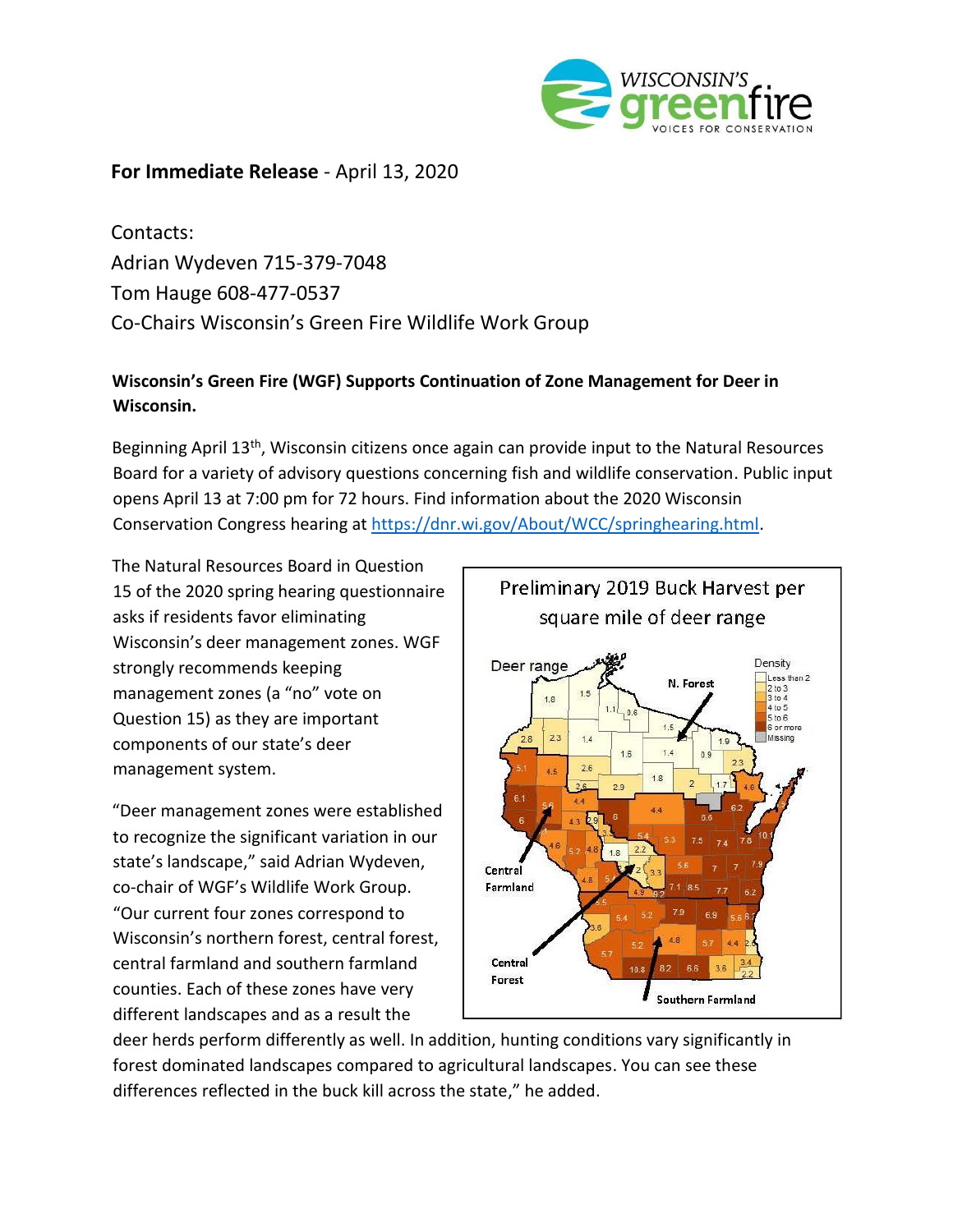

# **For Immediate Release** - April 13, 2020

Contacts: Adrian Wydeven 715-379-7048 Tom Hauge 608-477-0537 Co-Chairs Wisconsin's Green Fire Wildlife Work Group

# **Wisconsin's Green Fire (WGF) Supports Continuation of Zone Management for Deer in Wisconsin.**

Beginning April 13<sup>th</sup>, Wisconsin citizens once again can provide input to the Natural Resources Board for a variety of advisory questions concerning fish and wildlife conservation. Public input opens April 13 at 7:00 pm for 72 hours. Find information about the 2020 Wisconsin Conservation Congress hearing at [https://dnr.wi.gov/About/WCC/springhearing.html.](https://dnr.wi.gov/About/WCC/springhearing.html)

The Natural Resources Board in Question 15 of the 2020 spring hearing questionnaire asks if residents favor eliminating Wisconsin's deer management zones. WGF strongly recommends keeping management zones (a "no" vote on Question 15) as they are important components of our state's deer management system.

"Deer management zones were established to recognize the significant variation in our state's landscape," said Adrian Wydeven, co-chair of WGF's Wildlife Work Group. "Our current four zones correspond to Wisconsin's northern forest, central forest, central farmland and southern farmland counties. Each of these zones have very different landscapes and as a result the



deer herds perform differently as well. In addition, hunting conditions vary significantly in forest dominated landscapes compared to agricultural landscapes. You can see these differences reflected in the buck kill across the state," he added.